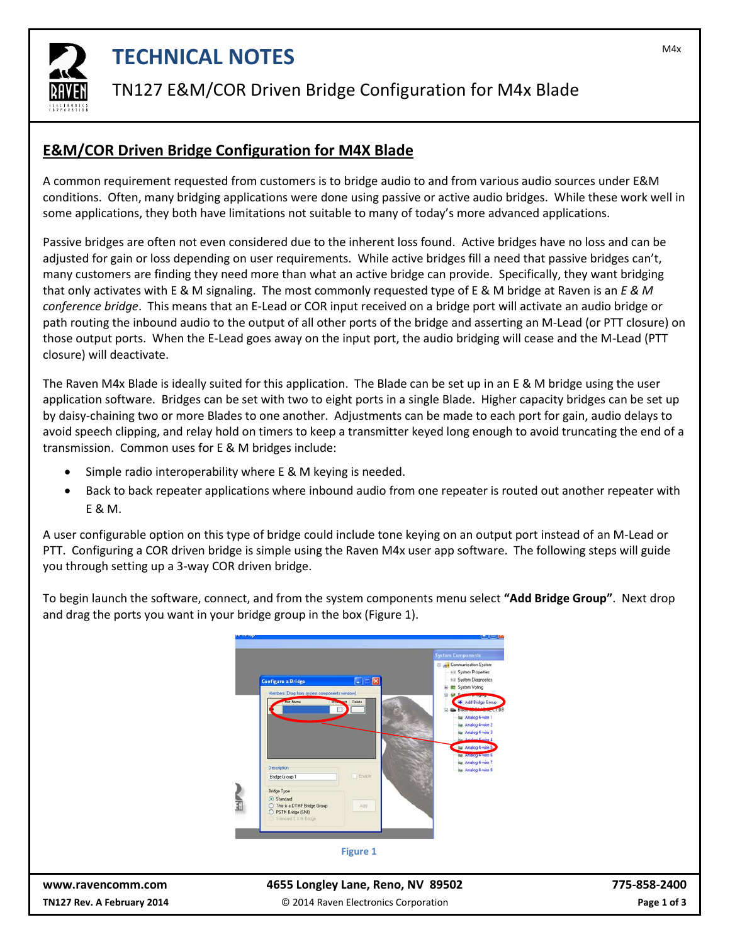

# **TECHNICAL NOTES TECHNICAL NOTES**

#### TN127 E&M/COR Driven Bridge Configuration for M4x Blade

#### **E&M/COR Driven Bridge Configuration for M4X Blade**

A common requirement requested from customers is to bridge audio to and from various audio sources under E&M conditions. Often, many bridging applications were done using passive or active audio bridges. While these work well in some applications, they both have limitations not suitable to many of today's more advanced applications.

Passive bridges are often not even considered due to the inherent loss found. Active bridges have no loss and can be adjusted for gain or loss depending on user requirements. While active bridges fill a need that passive bridges can't, many customers are finding they need more than what an active bridge can provide. Specifically, they want bridging that only activates with E & M signaling. The most commonly requested type of E & M bridge at Raven is an *E & M conference bridge*. This means that an E-Lead or COR input received on a bridge port will activate an audio bridge or path routing the inbound audio to the output of all other ports of the bridge and asserting an M-Lead (or PTT closure) on those output ports. When the E-Lead goes away on the input port, the audio bridging will cease and the M-Lead (PTT closure) will deactivate.

The Raven M4x Blade is ideally suited for this application. The Blade can be set up in an E & M bridge using the user application software. Bridges can be set with two to eight ports in a single Blade. Higher capacity bridges can be set up by daisy-chaining two or more Blades to one another. Adjustments can be made to each port for gain, audio delays to avoid speech clipping, and relay hold on timers to keep a transmitter keyed long enough to avoid truncating the end of a transmission. Common uses for E & M bridges include:

- Simple radio interoperability where E & M keying is needed.
- Back to back repeater applications where inbound audio from one repeater is routed out another repeater with E & M.

A user configurable option on this type of bridge could include tone keying on an output port instead of an M-Lead or PTT. Configuring a COR driven bridge is simple using the Raven M4x user app software. The following steps will guide you through setting up a 3-way COR driven bridge.

To begin launch the software, connect, and from the system components menu select **"Add Bridge Group"**. Next drop and drag the ports you want in your bridge group in the box (Figure 1).



**[www.ravencomm.com](http://www.ravencomm.com/) 4655 Longley Lane, Reno, NV 89502 775-858-2400 TN127 Rev. A February 2014** © 2014 Raven Electronics Corporation **Page 1 of 3**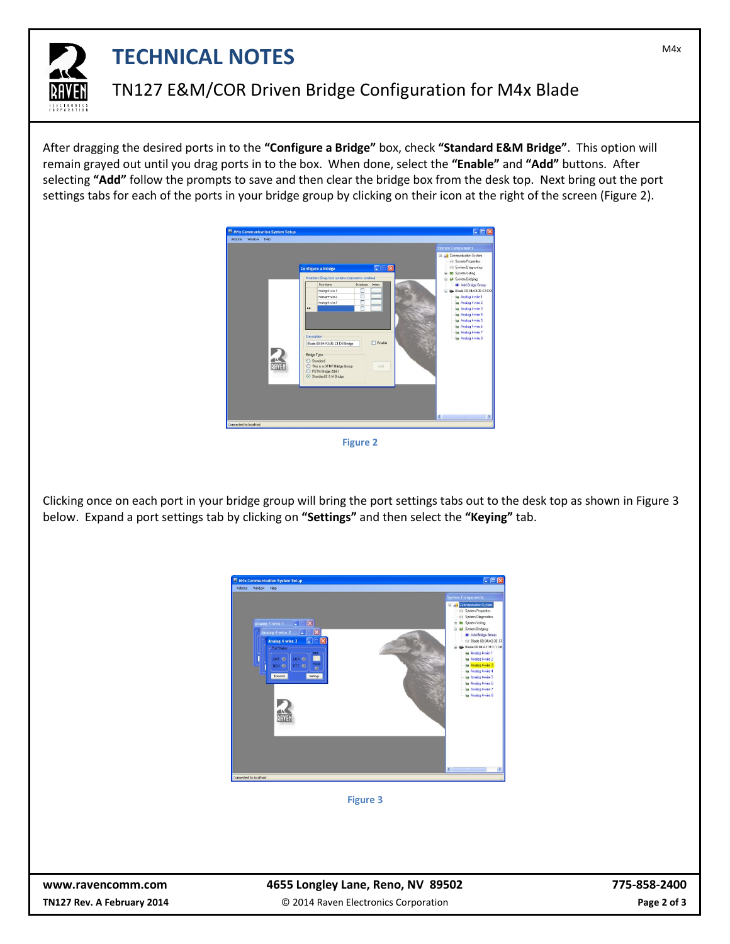

# **TECHNICAL NOTES TECHNICAL NOTES**

### TN127 E&M/COR Driven Bridge Configuration for M4x Blade

After dragging the desired ports in to the **"Configure a Bridge"** box, check **"Standard E&M Bridge"**. This option will remain grayed out until you drag ports in to the box. When done, select the **"Enable"** and **"Add"** buttons. After selecting **"Add"** follow the prompts to save and then clear the bridge box from the desk top. Next bring out the port settings tabs for each of the ports in your bridge group by clicking on their icon at the right of the screen (Figure 2).



**Figure 2**

Clicking once on each port in your bridge group will bring the port settings tabs out to the desk top as shown in Figure 3 below. Expand a port settings tab by clicking on **"Settings"** and then select the **"Keying"** tab.



**Figure 3**